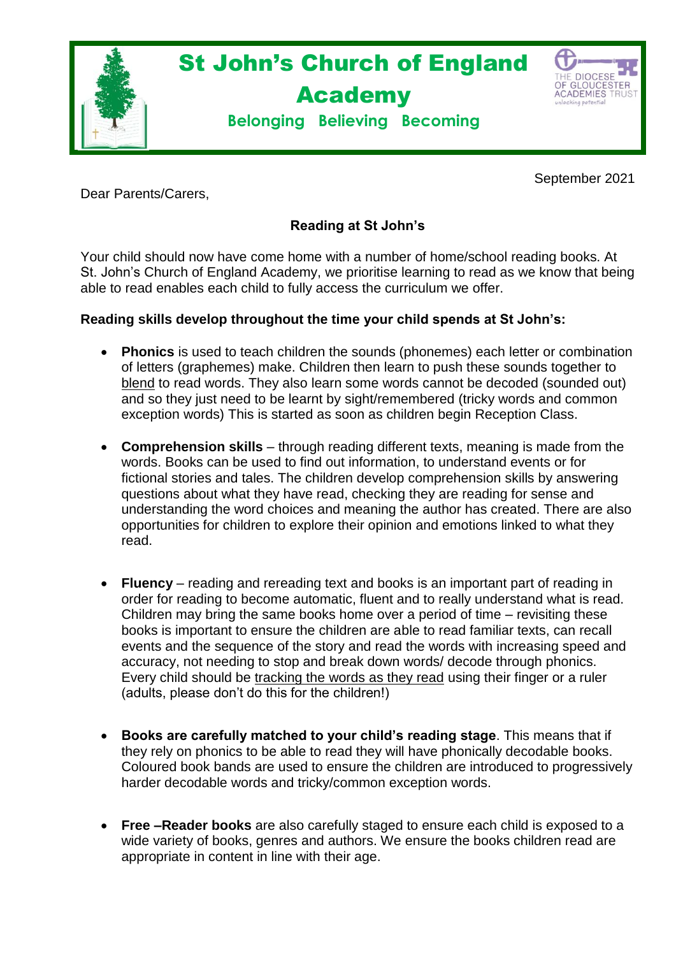

September 2021

Dear Parents/Carers,

## **Reading at St John's**

Your child should now have come home with a number of home/school reading books. At St. John's Church of England Academy, we prioritise learning to read as we know that being able to read enables each child to fully access the curriculum we offer.

## **Reading skills develop throughout the time your child spends at St John's:**

- **Phonics** is used to teach children the sounds (phonemes) each letter or combination of letters (graphemes) make. Children then learn to push these sounds together to blend to read words. They also learn some words cannot be decoded (sounded out) and so they just need to be learnt by sight/remembered (tricky words and common exception words) This is started as soon as children begin Reception Class.
- **Comprehension skills** through reading different texts, meaning is made from the words. Books can be used to find out information, to understand events or for fictional stories and tales. The children develop comprehension skills by answering questions about what they have read, checking they are reading for sense and understanding the word choices and meaning the author has created. There are also opportunities for children to explore their opinion and emotions linked to what they read.
- **Fluency** reading and rereading text and books is an important part of reading in order for reading to become automatic, fluent and to really understand what is read. Children may bring the same books home over a period of time – revisiting these books is important to ensure the children are able to read familiar texts, can recall events and the sequence of the story and read the words with increasing speed and accuracy, not needing to stop and break down words/ decode through phonics. Every child should be tracking the words as they read using their finger or a ruler (adults, please don't do this for the children!)
- **Books are carefully matched to your child's reading stage**. This means that if they rely on phonics to be able to read they will have phonically decodable books. Coloured book bands are used to ensure the children are introduced to progressively harder decodable words and tricky/common exception words.
- **Free –Reader books** are also carefully staged to ensure each child is exposed to a wide variety of books, genres and authors. We ensure the books children read are appropriate in content in line with their age.